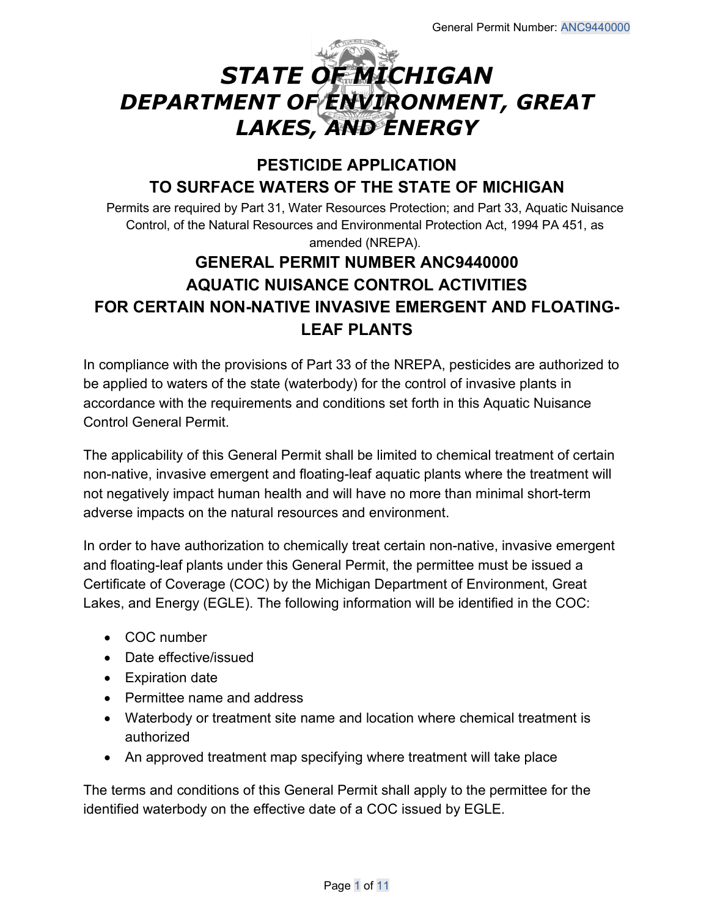# *STATE OF MICHIGAN DEPARTMENT OF ENVIRONMENT, GREAT LAKES, AND ENERGY*

# **PESTICIDE APPLICATION TO SURFACE WATERS OF THE STATE OF MICHIGAN**

Permits are required by Part 31, Water Resources Protection; and Part 33, Aquatic Nuisance Control, of the Natural Resources and Environmental Protection Act, 1994 PA 451, as amended (NREPA).

# **GENERAL PERMIT NUMBER ANC9440000 AQUATIC NUISANCE CONTROL ACTIVITIES FOR CERTAIN NON-NATIVE INVASIVE EMERGENT AND FLOATING-LEAF PLANTS**

In compliance with the provisions of Part 33 of the NREPA, pesticides are authorized to be applied to waters of the state (waterbody) for the control of invasive plants in accordance with the requirements and conditions set forth in this Aquatic Nuisance Control General Permit.

The applicability of this General Permit shall be limited to chemical treatment of certain non-native, invasive emergent and floating-leaf aquatic plants where the treatment will not negatively impact human health and will have no more than minimal short-term adverse impacts on the natural resources and environment.

In order to have authorization to chemically treat certain non-native, invasive emergent and floating-leaf plants under this General Permit, the permittee must be issued a Certificate of Coverage (COC) by the Michigan Department of Environment, Great Lakes, and Energy (EGLE). The following information will be identified in the COC:

- COC number
- Date effective/issued
- Expiration date
- Permittee name and address
- Waterbody or treatment site name and location where chemical treatment is authorized
- An approved treatment map specifying where treatment will take place

The terms and conditions of this General Permit shall apply to the permittee for the identified waterbody on the effective date of a COC issued by EGLE.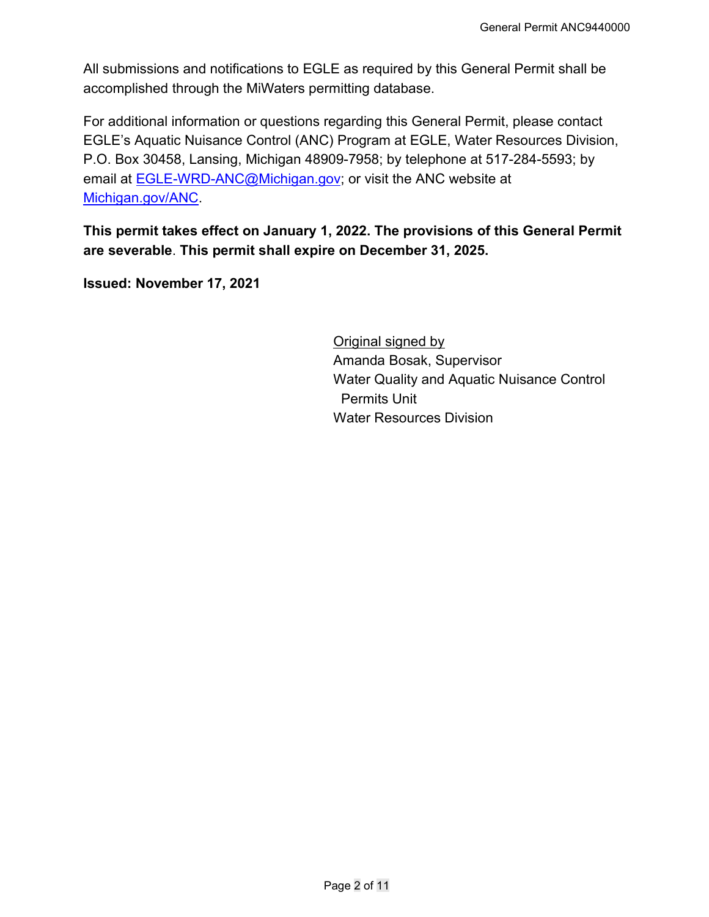All submissions and notifications to EGLE as required by this General Permit shall be accomplished through the MiWaters permitting database.

For additional information or questions regarding this General Permit, please contact EGLE's Aquatic Nuisance Control (ANC) Program at EGLE, Water Resources Division, P.O. Box 30458, Lansing, Michigan 48909-7958; by telephone at 517-284-5593; by email at [EGLE-WRD-ANC@Michigan.gov;](mailto:egle-wrd-anc@michigan.gov) or visit the ANC website at [Michigan.gov/ANC.](http://www.michigan.gov/anc)

**This permit takes effect on January 1, 2022. The provisions of this General Permit are severable**. **This permit shall expire on December 31, 2025.** 

**Issued: November 17, 2021**

**Original signed by** Amanda Bosak, Supervisor Water Quality and Aquatic Nuisance Control Permits Unit Water Resources Division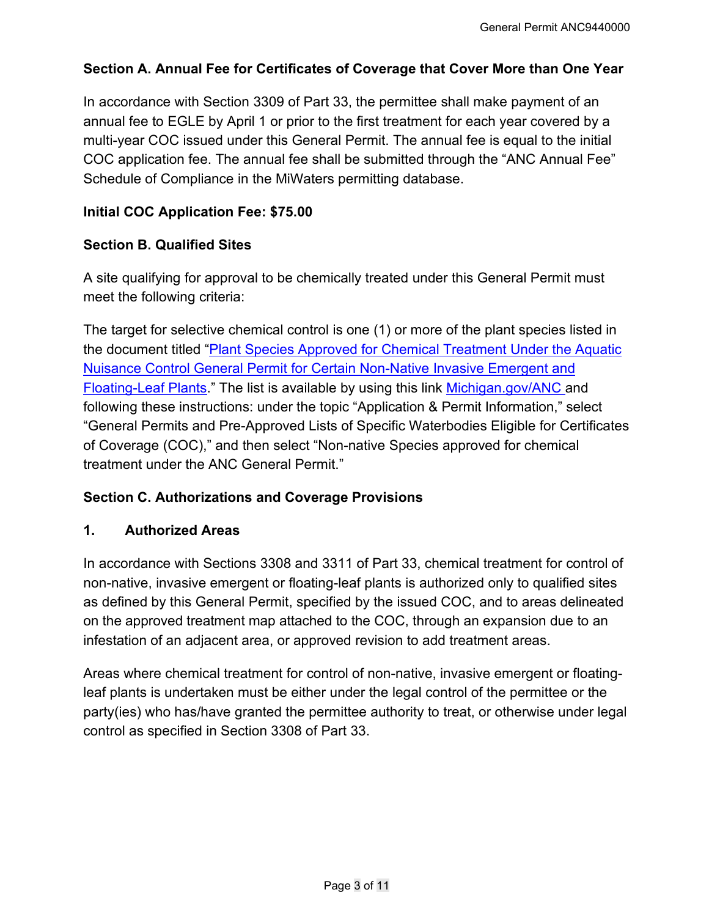#### **Section A. Annual Fee for Certificates of Coverage that Cover More than One Year**

In accordance with Section 3309 of Part 33, the permittee shall make payment of an annual fee to EGLE by April 1 or prior to the first treatment for each year covered by a multi-year COC issued under this General Permit. The annual fee is equal to the initial COC application fee. The annual fee shall be submitted through the "ANC Annual Fee" Schedule of Compliance in the MiWaters permitting database.

#### **Initial COC Application Fee: \$75.00**

#### **Section B. Qualified Sites**

A site qualifying for approval to be chemically treated under this General Permit must meet the following criteria:

The target for selective chemical control is one (1) or more of the plant species listed in the document titled "Plant Species Approved for Chemical Treatment Under the Aquatic [Nuisance Control General Permit for Certain Non-Native Invasive Emergent and](https://www.michigan.gov/documents/deq/wrd-ANC-ANC9430000-Species_539813_7.pdf)  [Floating-Leaf Plants.](https://www.michigan.gov/documents/deq/wrd-ANC-ANC9430000-Species_539813_7.pdf)" The list is available by using this link [Michigan.gov/ANC](http://www.michigan.gov/anc) and following these instructions: under the topic "Application & Permit Information," select "General Permits and Pre-Approved Lists of Specific Waterbodies Eligible for Certificates of Coverage (COC)," and then select "Non-native Species approved for chemical treatment under the ANC General Permit."

#### **Section C. Authorizations and Coverage Provisions**

#### **1. Authorized Areas**

In accordance with Sections 3308 and 3311 of Part 33, chemical treatment for control of non-native, invasive emergent or floating-leaf plants is authorized only to qualified sites as defined by this General Permit, specified by the issued COC, and to areas delineated on the approved treatment map attached to the COC, through an expansion due to an infestation of an adjacent area, or approved revision to add treatment areas.

Areas where chemical treatment for control of non-native, invasive emergent or floatingleaf plants is undertaken must be either under the legal control of the permittee or the party(ies) who has/have granted the permittee authority to treat, or otherwise under legal control as specified in Section 3308 of Part 33.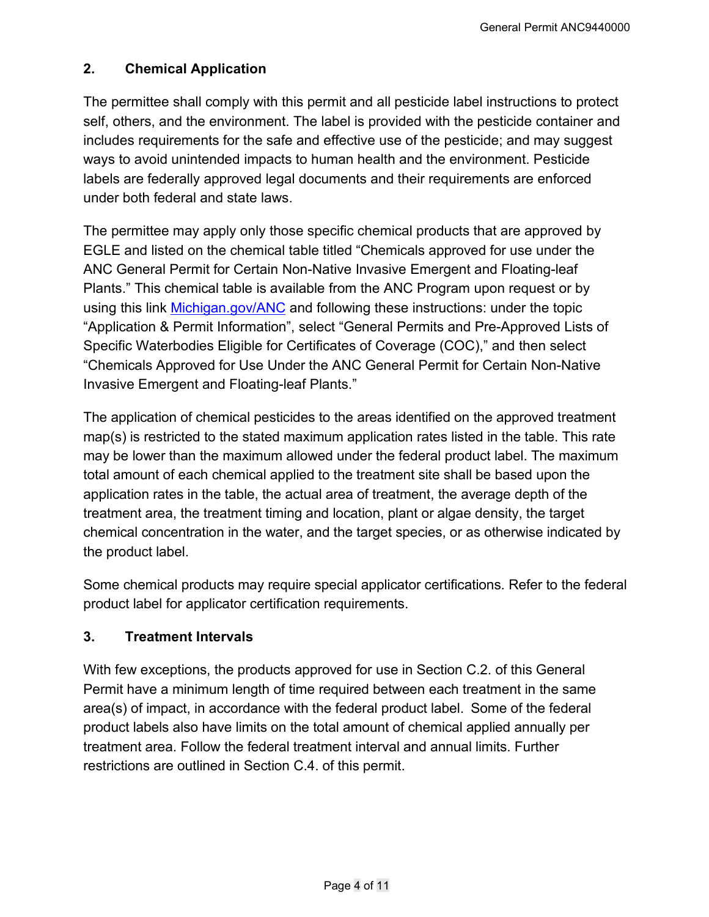# **2. Chemical Application**

The permittee shall comply with this permit and all pesticide label instructions to protect self, others, and the environment. The label is provided with the pesticide container and includes requirements for the safe and effective use of the pesticide; and may suggest ways to avoid unintended impacts to human health and the environment. Pesticide labels are federally approved legal documents and their requirements are enforced under both federal and state laws.

The permittee may apply only those specific chemical products that are approved by EGLE and listed on the chemical table titled "Chemicals approved for use under the ANC General Permit for Certain Non-Native Invasive Emergent and Floating-leaf Plants." This chemical table is available from the ANC Program upon request or by using this link [Michigan.gov/ANC](https://www.michigan.gov/egle/0,9429,7-135-3313_3681_3710---,00.html) and following these instructions: under the topic "Application & Permit Information", select "General Permits and Pre-Approved Lists of Specific Waterbodies Eligible for Certificates of Coverage (COC)," and then select "Chemicals Approved for Use Under the ANC General Permit for Certain Non-Native Invasive Emergent and Floating-leaf Plants."

The application of chemical pesticides to the areas identified on the approved treatment map(s) is restricted to the stated maximum application rates listed in the table. This rate may be lower than the maximum allowed under the federal product label. The maximum total amount of each chemical applied to the treatment site shall be based upon the application rates in the table, the actual area of treatment, the average depth of the treatment area, the treatment timing and location, plant or algae density, the target chemical concentration in the water, and the target species, or as otherwise indicated by the product label.

Some chemical products may require special applicator certifications. Refer to the federal product label for applicator certification requirements.

# **3. Treatment Intervals**

With few exceptions, the products approved for use in Section C.2. of this General Permit have a minimum length of time required between each treatment in the same area(s) of impact, in accordance with the federal product label. Some of the federal product labels also have limits on the total amount of chemical applied annually per treatment area. Follow the federal treatment interval and annual limits. Further restrictions are outlined in Section C.4. of this permit.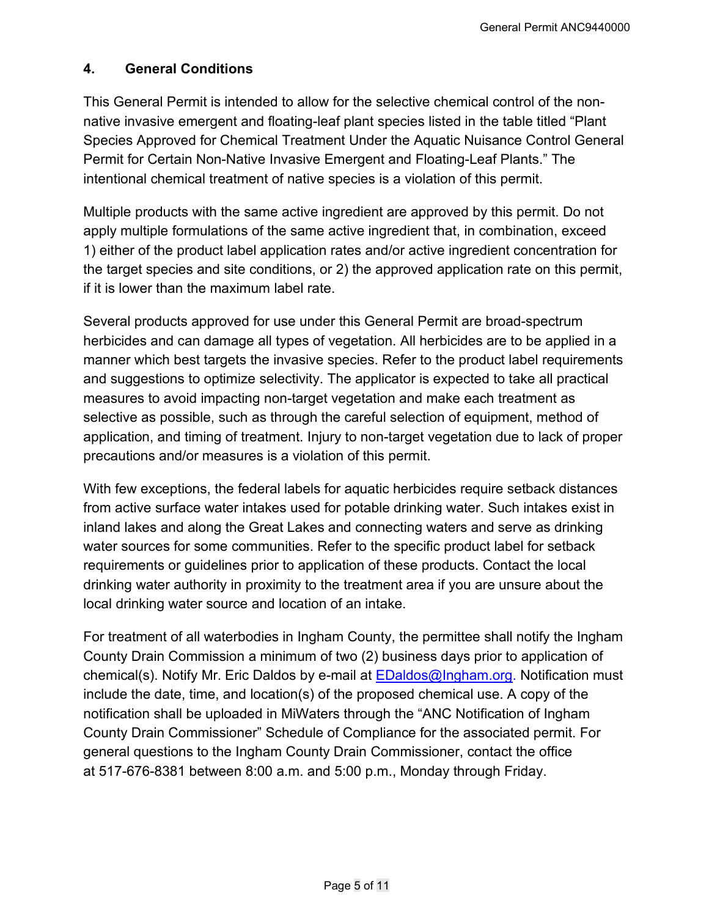#### **4. General Conditions**

This General Permit is intended to allow for the selective chemical control of the nonnative invasive emergent and floating-leaf plant species listed in the table titled "Plant Species Approved for Chemical Treatment Under the Aquatic Nuisance Control General Permit for Certain Non-Native Invasive Emergent and Floating-Leaf Plants." The intentional chemical treatment of native species is a violation of this permit.

Multiple products with the same active ingredient are approved by this permit. Do not apply multiple formulations of the same active ingredient that, in combination, exceed 1) either of the product label application rates and/or active ingredient concentration for the target species and site conditions, or 2) the approved application rate on this permit, if it is lower than the maximum label rate.

Several products approved for use under this General Permit are broad-spectrum herbicides and can damage all types of vegetation. All herbicides are to be applied in a manner which best targets the invasive species. Refer to the product label requirements and suggestions to optimize selectivity. The applicator is expected to take all practical measures to avoid impacting non-target vegetation and make each treatment as selective as possible, such as through the careful selection of equipment, method of application, and timing of treatment. Injury to non-target vegetation due to lack of proper precautions and/or measures is a violation of this permit.

With few exceptions, the federal labels for aquatic herbicides require setback distances from active surface water intakes used for potable drinking water. Such intakes exist in inland lakes and along the Great Lakes and connecting waters and serve as drinking water sources for some communities. Refer to the specific product label for setback requirements or guidelines prior to application of these products. Contact the local drinking water authority in proximity to the treatment area if you are unsure about the local drinking water source and location of an intake.

For treatment of all waterbodies in Ingham County, the permittee shall notify the Ingham County Drain Commission a minimum of two (2) business days prior to application of chemical(s). Notify Mr. Eric Daldos by e-mail at EDaldos@Ingham.org. Notification must include the date, time, and location(s) of the proposed chemical use. A copy of the notification shall be uploaded in MiWaters through the "ANC Notification of Ingham County Drain Commissioner" Schedule of Compliance for the associated permit. For general questions to the Ingham County Drain Commissioner, contact the office at 517-676-8381 between 8:00 a.m. and 5:00 p.m., Monday through Friday.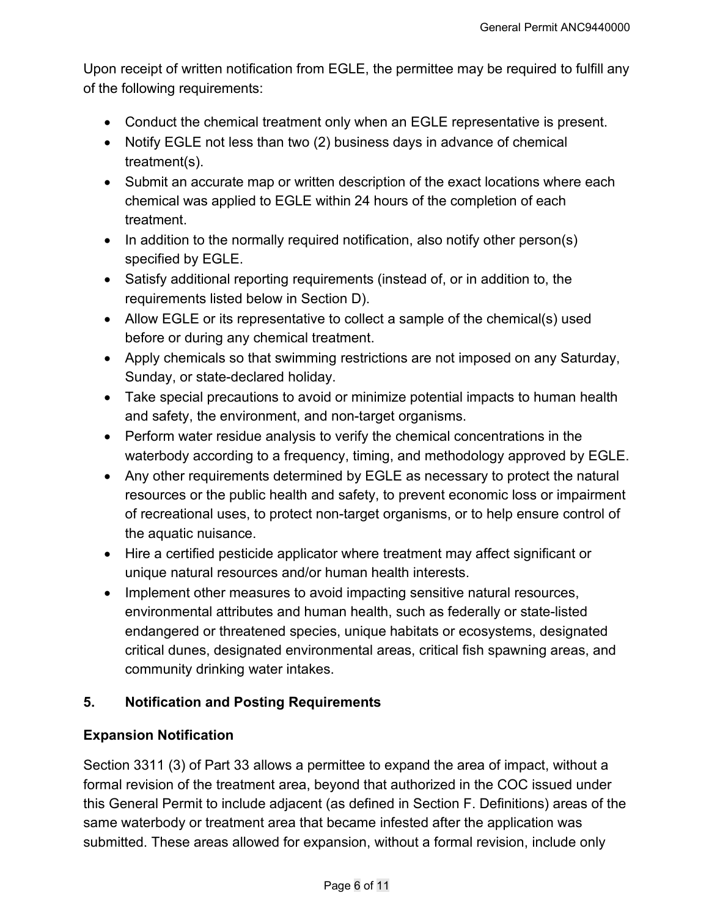Upon receipt of written notification from EGLE, the permittee may be required to fulfill any of the following requirements:

- Conduct the chemical treatment only when an EGLE representative is present.
- Notify EGLE not less than two (2) business days in advance of chemical treatment(s).
- Submit an accurate map or written description of the exact locations where each chemical was applied to EGLE within 24 hours of the completion of each treatment.
- $\bullet$  In addition to the normally required notification, also notify other person(s) specified by EGLE.
- Satisfy additional reporting requirements (instead of, or in addition to, the requirements listed below in Section D).
- Allow EGLE or its representative to collect a sample of the chemical(s) used before or during any chemical treatment.
- Apply chemicals so that swimming restrictions are not imposed on any Saturday, Sunday, or state-declared holiday.
- Take special precautions to avoid or minimize potential impacts to human health and safety, the environment, and non-target organisms.
- Perform water residue analysis to verify the chemical concentrations in the waterbody according to a frequency, timing, and methodology approved by EGLE.
- Any other requirements determined by EGLE as necessary to protect the natural resources or the public health and safety, to prevent economic loss or impairment of recreational uses, to protect non-target organisms, or to help ensure control of the aquatic nuisance.
- Hire a certified pesticide applicator where treatment may affect significant or unique natural resources and/or human health interests.
- Implement other measures to avoid impacting sensitive natural resources, environmental attributes and human health, such as federally or state-listed endangered or threatened species, unique habitats or ecosystems, designated critical dunes, designated environmental areas, critical fish spawning areas, and community drinking water intakes.

# **5. Notification and Posting Requirements**

# **Expansion Notification**

Section 3311 (3) of Part 33 allows a permittee to expand the area of impact, without a formal revision of the treatment area, beyond that authorized in the COC issued under this General Permit to include adjacent (as defined in Section F. Definitions) areas of the same waterbody or treatment area that became infested after the application was submitted. These areas allowed for expansion, without a formal revision, include only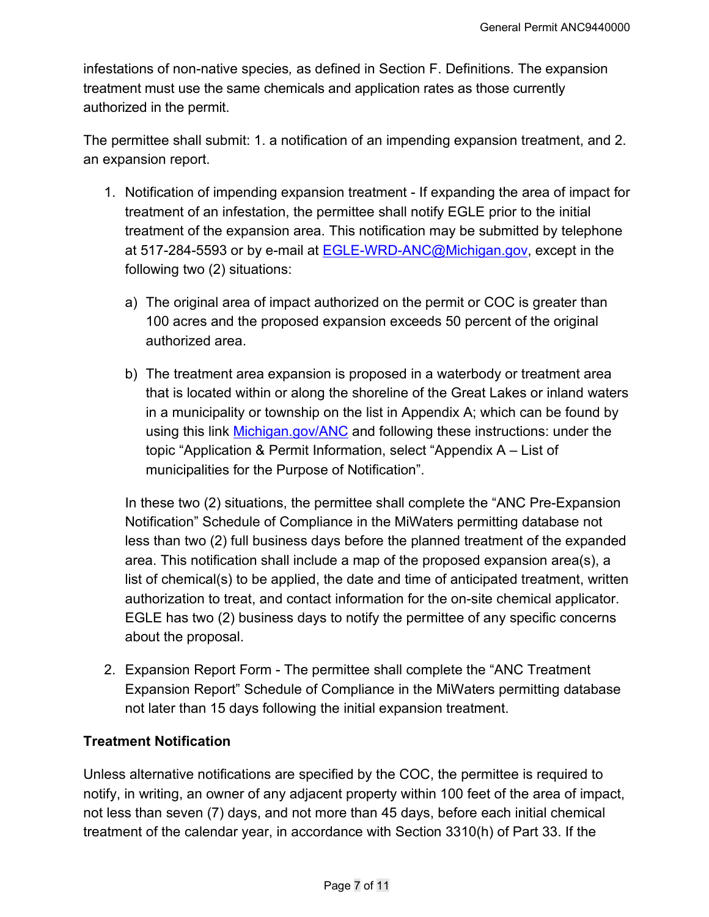infestations of non-native species*,* as defined in Section F. Definitions. The expansion treatment must use the same chemicals and application rates as those currently authorized in the permit.

The permittee shall submit: 1. a notification of an impending expansion treatment, and 2. an expansion report.

- 1. Notification of impending expansion treatment If expanding the area of impact for treatment of an infestation, the permittee shall notify EGLE prior to the initial treatment of the expansion area. This notification may be submitted by telephone at 517-284-5593 or by e-mail at [EGLE-WRD-ANC@Michigan.gov,](mailto:egle-wrd-anc@michigan.gov) except in the following two (2) situations:
	- a) The original area of impact authorized on the permit or COC is greater than 100 acres and the proposed expansion exceeds 50 percent of the original authorized area.
	- b) The treatment area expansion is proposed in a waterbody or treatment area that is located within or along the shoreline of the Great Lakes or inland waters in a municipality or township on the list in Appendix A; which can be found by using this link [Michigan.gov/ANC](http://www.michigan.gov/anc) and following these instructions: under the topic "Application & Permit Information, select "Appendix A – List of municipalities for the Purpose of Notification".

In these two (2) situations, the permittee shall complete the "ANC Pre-Expansion Notification" Schedule of Compliance in the MiWaters permitting database not less than two (2) full business days before the planned treatment of the expanded area. This notification shall include a map of the proposed expansion area(s), a list of chemical(s) to be applied, the date and time of anticipated treatment, written authorization to treat, and contact information for the on-site chemical applicator. EGLE has two (2) business days to notify the permittee of any specific concerns about the proposal.

2. Expansion Report Form - The permittee shall complete the "ANC Treatment Expansion Report" Schedule of Compliance in the MiWaters permitting database not later than 15 days following the initial expansion treatment.

# **Treatment Notification**

Unless alternative notifications are specified by the COC, the permittee is required to notify, in writing, an owner of any adjacent property within 100 feet of the area of impact, not less than seven (7) days, and not more than 45 days, before each initial chemical treatment of the calendar year, in accordance with Section 3310(h) of Part 33. If the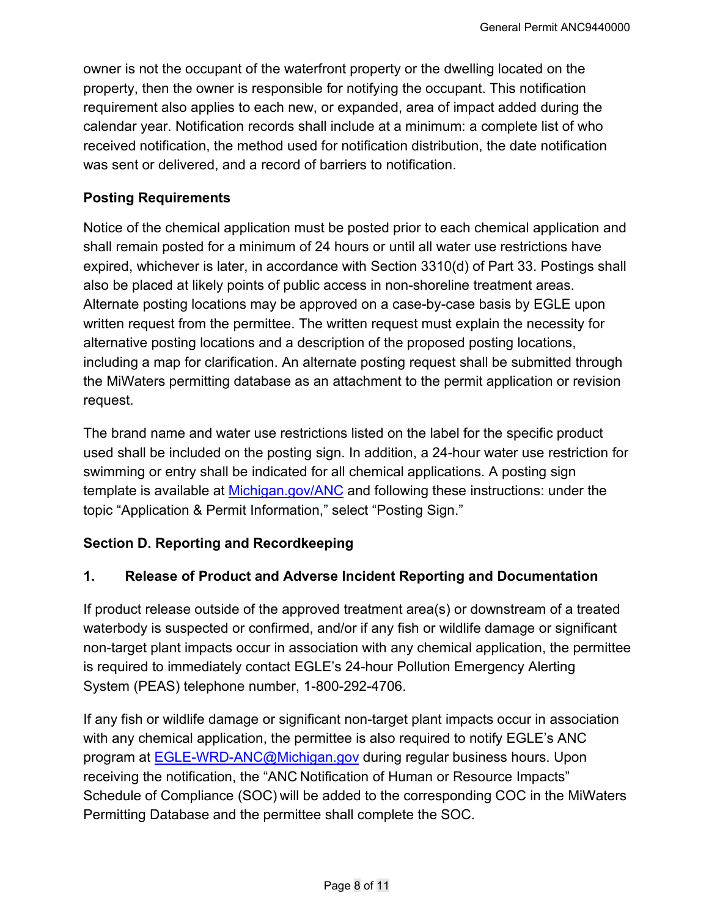owner is not the occupant of the waterfront property or the dwelling located on the property, then the owner is responsible for notifying the occupant. This notification requirement also applies to each new, or expanded, area of impact added during the calendar year. Notification records shall include at a minimum: a complete list of who received notification, the method used for notification distribution, the date notification was sent or delivered, and a record of barriers to notification.

#### **Posting Requirements**

Notice of the chemical application must be posted prior to each chemical application and shall remain posted for a minimum of 24 hours or until all water use restrictions have expired, whichever is later, in accordance with Section 3310(d) of Part 33. Postings shall also be placed at likely points of public access in non-shoreline treatment areas. Alternate posting locations may be approved on a case-by-case basis by EGLE upon written request from the permittee. The written request must explain the necessity for alternative posting locations and a description of the proposed posting locations, including a map for clarification. An alternate posting request shall be submitted through the MiWaters permitting database as an attachment to the permit application or revision request.

The brand name and water use restrictions listed on the label for the specific product used shall be included on the posting sign. In addition, a 24-hour water use restriction for swimming or entry shall be indicated for all chemical applications. A posting sign template is available at [Michigan.gov/ANC](http://www.michigan.gov/anc) and following these instructions: under the topic "Application & Permit Information," select "Posting Sign."

# **Section D. Reporting and Recordkeeping**

#### **1. Release of Product and Adverse Incident Reporting and Documentation**

If product release outside of the approved treatment area(s) or downstream of a treated waterbody is suspected or confirmed, and/or if any fish or wildlife damage or significant non-target plant impacts occur in association with any chemical application, the permittee is required to immediately contact EGLE's 24-hour Pollution Emergency Alerting System (PEAS) telephone number, 1-800-292-4706.

If any fish or wildlife damage or significant non-target plant impacts occur in association with any chemical application, the permittee is also required to notify EGLE's ANC program at [EGLE-WRD-ANC@Michigan.gov](mailto:egle-wrd-anc@michigan.gov) during regular business hours. Upon receiving the notification, the "ANC Notification of Human or Resource Impacts" Schedule of Compliance (SOC) will be added to the corresponding COC in the MiWaters Permitting Database and the permittee shall complete the SOC.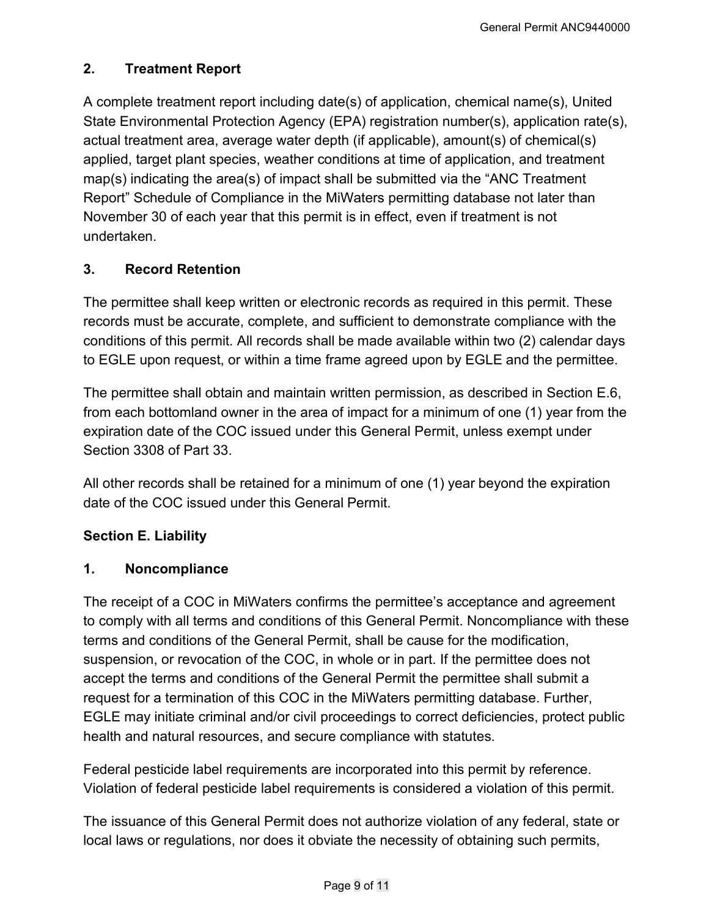# **2. Treatment Report**

A complete treatment report including date(s) of application, chemical name(s), United State Environmental Protection Agency (EPA) registration number(s), application rate(s), actual treatment area, average water depth (if applicable), amount(s) of chemical(s) applied, target plant species, weather conditions at time of application, and treatment map(s) indicating the area(s) of impact shall be submitted via the "ANC Treatment Report" Schedule of Compliance in the MiWaters permitting database not later than November 30 of each year that this permit is in effect, even if treatment is not undertaken.

# **3. Record Retention**

The permittee shall keep written or electronic records as required in this permit. These records must be accurate, complete, and sufficient to demonstrate compliance with the conditions of this permit. All records shall be made available within two (2) calendar days to EGLE upon request, or within a time frame agreed upon by EGLE and the permittee.

The permittee shall obtain and maintain written permission, as described in Section E.6, from each bottomland owner in the area of impact for a minimum of one (1) year from the expiration date of the COC issued under this General Permit, unless exempt under Section 3308 of Part 33.

All other records shall be retained for a minimum of one (1) year beyond the expiration date of the COC issued under this General Permit.

# **Section E. Liability**

#### **1. Noncompliance**

The receipt of a COC in MiWaters confirms the permittee's acceptance and agreement to comply with all terms and conditions of this General Permit. Noncompliance with these terms and conditions of the General Permit, shall be cause for the modification, suspension, or revocation of the COC, in whole or in part. If the permittee does not accept the terms and conditions of the General Permit the permittee shall submit a request for a termination of this COC in the MiWaters permitting database. Further, EGLE may initiate criminal and/or civil proceedings to correct deficiencies, protect public health and natural resources, and secure compliance with statutes.

Federal pesticide label requirements are incorporated into this permit by reference. Violation of federal pesticide label requirements is considered a violation of this permit.

The issuance of this General Permit does not authorize violation of any federal, state or local laws or regulations, nor does it obviate the necessity of obtaining such permits,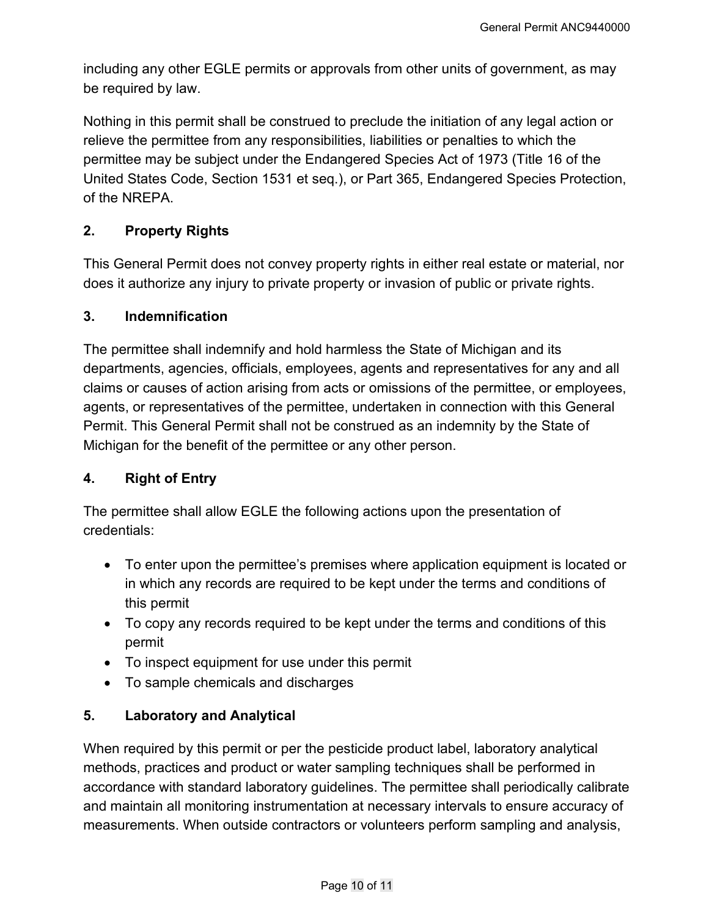including any other EGLE permits or approvals from other units of government, as may be required by law.

Nothing in this permit shall be construed to preclude the initiation of any legal action or relieve the permittee from any responsibilities, liabilities or penalties to which the permittee may be subject under the Endangered Species Act of 1973 (Title 16 of the United States Code, Section 1531 et seq.), or Part 365, Endangered Species Protection, of the NREPA.

# **2. Property Rights**

This General Permit does not convey property rights in either real estate or material, nor does it authorize any injury to private property or invasion of public or private rights.

#### **3. Indemnification**

The permittee shall indemnify and hold harmless the State of Michigan and its departments, agencies, officials, employees, agents and representatives for any and all claims or causes of action arising from acts or omissions of the permittee, or employees, agents, or representatives of the permittee, undertaken in connection with this General Permit. This General Permit shall not be construed as an indemnity by the State of Michigan for the benefit of the permittee or any other person.

# **4. Right of Entry**

The permittee shall allow EGLE the following actions upon the presentation of credentials:

- To enter upon the permittee's premises where application equipment is located or in which any records are required to be kept under the terms and conditions of this permit
- To copy any records required to be kept under the terms and conditions of this permit
- To inspect equipment for use under this permit
- To sample chemicals and discharges

# **5. Laboratory and Analytical**

When required by this permit or per the pesticide product label, laboratory analytical methods, practices and product or water sampling techniques shall be performed in accordance with standard laboratory guidelines. The permittee shall periodically calibrate and maintain all monitoring instrumentation at necessary intervals to ensure accuracy of measurements. When outside contractors or volunteers perform sampling and analysis,